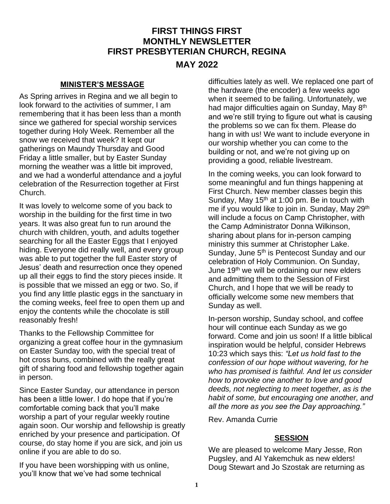# **FIRST THINGS FIRST MONTHLY NEWSLETTER FIRST PRESBYTERIAN CHURCH, REGINA**

## **MAY 2022**

#### **MINISTER'S MESSAGE**

As Spring arrives in Regina and we all begin to look forward to the activities of summer, I am remembering that it has been less than a month since we gathered for special worship services together during Holy Week. Remember all the snow we received that week? It kept our gatherings on Maundy Thursday and Good Friday a little smaller, but by Easter Sunday morning the weather was a little bit improved, and we had a wonderful attendance and a joyful celebration of the Resurrection together at First Church.

It was lovely to welcome some of you back to worship in the building for the first time in two years. It was also great fun to run around the church with children, youth, and adults together searching for all the Easter Eggs that I enjoyed hiding. Everyone did really well, and every group was able to put together the full Easter story of Jesus' death and resurrection once they opened up all their eggs to find the story pieces inside. It is possible that we missed an egg or two. So, if you find any little plastic eggs in the sanctuary in the coming weeks, feel free to open them up and enjoy the contents while the chocolate is still reasonably fresh!

Thanks to the Fellowship Committee for organizing a great coffee hour in the gymnasium on Easter Sunday too, with the special treat of hot cross buns, combined with the really great gift of sharing food and fellowship together again in person.

Since Easter Sunday, our attendance in person has been a little lower. I do hope that if you're comfortable coming back that you'll make worship a part of your regular weekly routine again soon. Our worship and fellowship is greatly enriched by your presence and participation. Of course, do stay home if you are sick, and join us online if you are able to do so.

If you have been worshipping with us online, you'll know that we've had some technical

difficulties lately as well. We replaced one part of the hardware (the encoder) a few weeks ago when it seemed to be failing. Unfortunately, we had major difficulties again on Sunday, May 8<sup>th</sup> and we're still trying to figure out what is causing the problems so we can fix them. Please do hang in with us! We want to include everyone in our worship whether you can come to the building or not, and we're not giving up on providing a good, reliable livestream.

In the coming weeks, you can look forward to some meaningful and fun things happening at First Church. New member classes begin this Sunday, May  $15<sup>th</sup>$  at 1:00 pm. Be in touch with me if you would like to join in. Sunday, May 29<sup>th</sup> will include a focus on Camp Christopher, with the Camp Administrator Donna Wilkinson, sharing about plans for in-person camping ministry this summer at Christopher Lake. Sunday, June 5<sup>th</sup> is Pentecost Sunday and our celebration of Holy Communion. On Sunday, June 19<sup>th</sup> we will be ordaining our new elders and admitting them to the Session of First Church, and I hope that we will be ready to officially welcome some new members that Sunday as well.

In-person worship, Sunday school, and coffee hour will continue each Sunday as we go forward. Come and join us soon! If a little biblical inspiration would be helpful, consider Hebrews 10:23 which says this: *"Let us hold fast to the confession of our hope without wavering, for he who has promised is faithful. And let us consider how to provoke one another to love and good deeds, not neglecting to meet together, as is the habit of some, but encouraging one another, and all the more as you see the Day approaching."*

Rev. Amanda Currie

#### **SESSION**

We are pleased to welcome Mary Jesse, Ron Pugsley, and Al Yakemchuk as new elders! Doug Stewart and Jo Szostak are returning as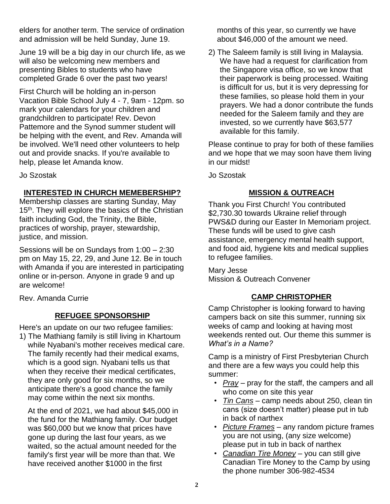elders for another term. The service of ordination and admission will be held Sunday, June 19.

June 19 will be a big day in our church life, as we will also be welcoming new members and presenting Bibles to students who have completed Grade 6 over the past two years!

First Church will be holding an in-person Vacation Bible School July 4 - 7, 9am - 12pm. so mark your calendars for your children and grandchildren to participate! Rev. Devon Pattemore and the Synod summer student will be helping with the event, and Rev. Amanda will be involved. We'll need other volunteers to help out and provide snacks. If you're available to help, please let Amanda know.

Jo Szostak

#### **INTERESTED IN CHURCH MEMEBERSHIP?**

Membership classes are starting Sunday, May 15<sup>th</sup>. They will explore the basics of the Christian faith including God, the Trinity, the Bible, practices of worship, prayer, stewardship, justice, and mission.

Sessions will be on Sundays from 1:00 – 2:30 pm on May 15, 22, 29, and June 12. Be in touch with Amanda if you are interested in participating online or in-person. Anyone in grade 9 and up are welcome!

Rev. Amanda Currie

## **REFUGEE SPONSORSHIP**

Here's an update on our two refugee families:

1) The Mathiang family is still living in Khartoum while Nyabani's mother receives medical care. The family recently had their medical exams, which is a good sign. Nyabani tells us that when they receive their medical certificates, they are only good for six months, so we anticipate there's a good chance the family may come within the next six months.

At the end of 2021, we had about \$45,000 in the fund for the Mathiang family. Our budget was \$60,000 but we know that prices have gone up during the last four years, as we waited, so the actual amount needed for the family's first year will be more than that. We have received another \$1000 in the first

months of this year, so currently we have about \$46,000 of the amount we need.

2) The Saleem family is still living in Malaysia. We have had a request for clarification from the Singapore visa office, so we know that their paperwork is being processed. Waiting is difficult for us, but it is very depressing for these families, so please hold them in your prayers. We had a donor contribute the funds needed for the Saleem family and they are invested, so we currently have \$63,577 available for this family.

Please continue to pray for both of these families and we hope that we may soon have them living in our midst!

Jo Szostak

## **MISSION & OUTREACH**

Thank you First Church! You contributed \$2,730.30 towards Ukraine relief through PWS&D during our Easter In Memoriam project. These funds will be used to give cash assistance, emergency mental health support, and food aid, hygiene kits and medical supplies to refugee families.

Mary Jesse Mission & Outreach Convener

# **CAMP CHRISTOPHER**

Camp Christopher is looking forward to having campers back on site this summer, running six weeks of camp and looking at having most weekends rented out. Our theme this summer is *What's in a Name?* 

Camp is a ministry of First Presbyterian Church and there are a few ways you could help this summer:

- *Pray* pray for the staff, the campers and all who come on site this year
- *Tin Cans* camp needs about 250, clean tin cans (size doesn't matter) please put in tub in back of narthex
- *Picture Frames* any random picture frames you are not using, (any size welcome) please put in tub in back of narthex
- *Canadian Tire Money* you can still give Canadian Tire Money to the Camp by using the phone number 306-982-4534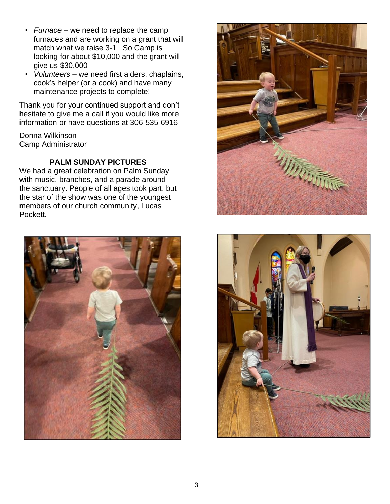- *Furnace* we need to replace the camp furnaces and are working on a grant that will match what we raise 3-1 So Camp is looking for about \$10,000 and the grant will give us \$30,000
- *Volunteers* we need first aiders, chaplains, cook's helper (or a cook) and have many maintenance projects to complete!

Thank you for your continued support and don't hesitate to give me a call if you would like more information or have questions at 306-535-6916

Donna Wilkinson Camp Administrator

# **PALM SUNDAY PICTURES**

We had a great celebration on Palm Sunday with music, branches, and a parade around the sanctuary. People of all ages took part, but the star of the show was one of the youngest members of our church community, Lucas Pockett.





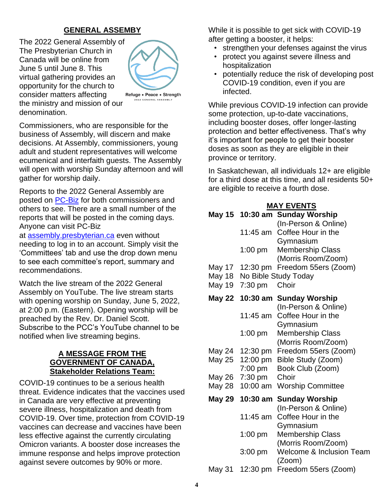# **GENERAL ASSEMBY**

The 2022 General Assembly of The Presbyterian Church in Canada will be online from June 5 until June 8. This virtual gathering provides an opportunity for the church to consider matters affecting the ministry and mission of our denomination.



Refuge . Peace . Strength 022 GENERAL ASSEMBL'

Commissioners, who are responsible for the business of Assembly, will discern and make decisions. At Assembly, commissioners, young adult and student representatives will welcome ecumenical and interfaith guests. The Assembly will open with worship Sunday afternoon and will gather for worship daily.

Reports to the 2022 General Assembly are posted on [PC-Biz](https://assembly.presbyterian.ca/) for both commissioners and others to see. There are a small number of the reports that will be posted in the coming days. Anyone can visit PC-Biz

at [assembly.presbyterian.ca](https://assembly.presbyterian.ca/) even without needing to log in to an account. Simply visit the 'Committees' tab and use the drop down menu to see each committee's report, summary and recommendations.

Watch the live stream of the 2022 General Assembly on YouTube. The live stream starts with opening worship on Sunday, June 5, 2022, at 2:00 p.m. (Eastern). Opening worship will be preached by the Rev. Dr. Daniel Scott. Subscribe to the PCC's YouTube channel to be notified when live streaming begins.

#### **A MESSAGE FROM THE GOVERNMENT OF CANADA, Stakeholder Relations Team:**

COVID-19 continues to be a serious health threat. Evidence indicates that the vaccines used in Canada are very effective at preventing severe illness, hospitalization and death from COVID-19. Over time, protection from COVID-19 vaccines can decrease and vaccines have been less effective against the currently circulating Omicron variants. A booster dose increases the immune response and helps improve protection against severe outcomes by 90% or more.

While it is possible to get sick with COVID-19 after getting a booster, it helps:

- strengthen your defenses against the virus
- protect you against severe illness and hospitalization
- potentially reduce the risk of developing post COVID-19 condition, even if you are infected.

While previous COVID-19 infection can provide some protection, up-to-date vaccinations, including booster doses, offer longer-lasting protection and better effectiveness. That's why it's important for people to get their booster doses as soon as they are eligible in their province or territory.

In Saskatchewan, all individuals 12+ are eligible for a third dose at this time, and all residents 50+ are eligible to receive a fourth dose.

| <b>MAY EVENTS</b> |                    |                                            |
|-------------------|--------------------|--------------------------------------------|
| May 15            | $10:30$ am         | <b>Sunday Worship</b>                      |
|                   |                    | (In-Person & Online)                       |
|                   | 11:45 am           | Coffee Hour in the                         |
|                   |                    | Gymnasium                                  |
|                   | $1:00$ pm          | <b>Membership Class</b>                    |
|                   |                    | (Morris Room/Zoom)                         |
| May 17            | $12:30 \text{ pm}$ | Freedom 55ers (Zoom)                       |
| May 18            |                    | No Bible Study Today                       |
| May 19            | $7:30$ pm          | Choir                                      |
| <b>May 22</b>     | 10:30 am           | <b>Sunday Worship</b>                      |
|                   |                    | (In-Person & Online)                       |
|                   | 11:45 am           | Coffee Hour in the                         |
|                   |                    | Gymnasium                                  |
|                   | 1:00 pm            | <b>Membership Class</b>                    |
|                   |                    | (Morris Room/Zoom)                         |
| May 24            | 12:30 pm           | Freedom 55ers (Zoom)                       |
| May 25            | 12:00 pm           | Bible Study (Zoom)                         |
|                   | 7:00 pm            | Book Club (Zoom)                           |
| May 26            | $7:30$ pm          | Choir                                      |
| <b>May 28</b>     | 10:00 am           | <b>Worship Committee</b>                   |
| May 29            | 10:30 am           | <b>Sunday Worship</b>                      |
|                   | 11:45 am           | (In-Person & Online)<br>Coffee Hour in the |
|                   |                    | Gymnasium                                  |
|                   | $1:00$ pm          | <b>Membership Class</b>                    |
|                   |                    | (Morris Room/Zoom)                         |
|                   | 3:00 pm            | Welcome & Inclusion Team                   |
|                   |                    | (Zoom)                                     |
| May 31            | 12:30 pm           | Freedom 55ers (Zoom)                       |